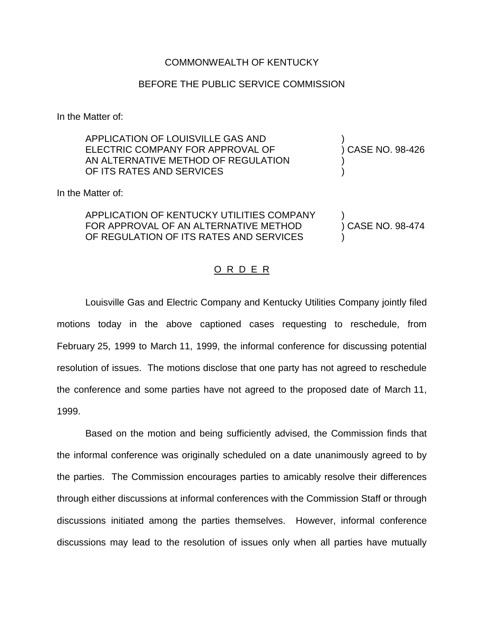## COMMONWEALTH OF KENTUCKY

## BEFORE THE PUBLIC SERVICE COMMISSION

In the Matter of:

| APPLICATION OF LOUISVILLE GAS AND<br>ELECTRIC COMPANY FOR APPROVAL OF<br>AN ALTERNATIVE METHOD OF REGULATION<br>OF ITS RATES AND SERVICES | ) CASE NO. 98-426 |
|-------------------------------------------------------------------------------------------------------------------------------------------|-------------------|
| In the Matter of:                                                                                                                         |                   |
| APPLICATION OF KENTUCKY UTILITIES COMPANY<br>FOR APPROVAL OF AN ALTERNATIVE METHOD<br>OF REGULATION OF ITS RATES AND SERVICES             | ) CASE NO. 98-474 |

## O R D E R

Louisville Gas and Electric Company and Kentucky Utilities Company jointly filed motions today in the above captioned cases requesting to reschedule, from February 25, 1999 to March 11, 1999, the informal conference for discussing potential resolution of issues. The motions disclose that one party has not agreed to reschedule the conference and some parties have not agreed to the proposed date of March 11, 1999.

Based on the motion and being sufficiently advised, the Commission finds that the informal conference was originally scheduled on a date unanimously agreed to by the parties. The Commission encourages parties to amicably resolve their differences through either discussions at informal conferences with the Commission Staff or through discussions initiated among the parties themselves. However, informal conference discussions may lead to the resolution of issues only when all parties have mutually